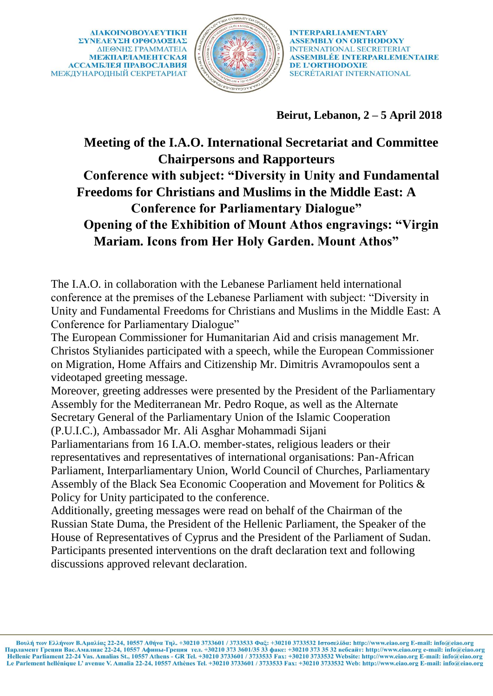

**Beirut, Lebanon, 2 – 5 April 2018**

## **Meeting of the I.A.O. International Secretariat and Committee Chairpersons and Rapporteurs Conference with subject: "Diversity in Unity and Fundamental Freedoms for Christians and Muslims in the Middle East: A Conference for Parliamentary Dialogue" Opening of the Exhibition of Mount Athos engravings: "Virgin Mariam. Icons from Her Holy Garden. Mount Athos"**

The I.A.O. in collaboration with the Lebanese Parliament held international conference at the premises of the Lebanese Parliament with subject: "Diversity in Unity and Fundamental Freedoms for Christians and Muslims in the Middle East: A Conference for Parliamentary Dialogue"

The European Commissioner for Humanitarian Aid and crisis management Mr. Christos Stylianides participated with a speech, while the European Commissioner on Migration, Home Affairs and Citizenship Mr. Dimitris Avramopoulos sent a videotaped greeting message.

Moreover, greeting addresses were presented by the President of the Parliamentary Assembly for the Mediterranean Mr. Pedro Roque, as well as the Alternate Secretary General of the Parliamentary Union of the Islamic Cooperation (P.U.I.C.), Ambassador Mr. Ali Asghar Mohammadi Sijani

Parliamentarians from 16 I.A.O. member-states, religious leaders or their representatives and representatives of international organisations: Pan-African Parliament, Interparliamentary Union, World Council of Churches, Parliamentary Assembly of the Black Sea Economic Cooperation and Movement for Politics & Policy for Unity participated to the conference.

Additionally, greeting messages were read on behalf of the Chairman of the Russian State Duma, the President of the Hellenic Parliament, the Speaker of the House of Representatives of Cyprus and the President of the Parliament of Sudan. Participants presented interventions on the draft declaration text and following discussions approved relevant declaration.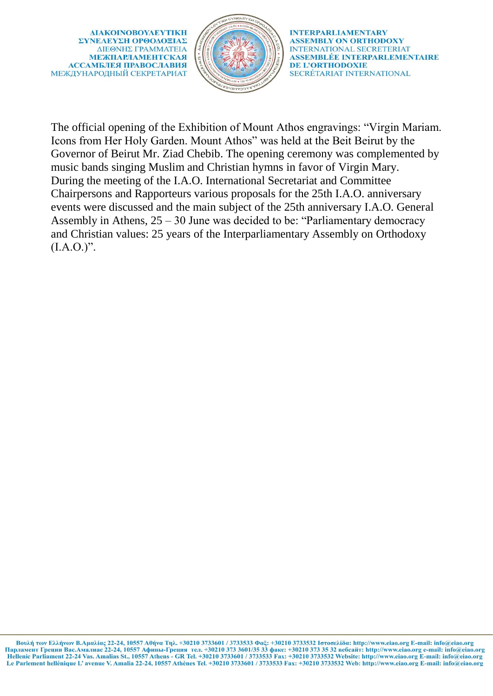ΔΙΑΚΟΙΝΟΒΟΥΛΕΥΤΙΚΗ ΣΥΝΕΛΕΥΣΗ ΟΡΘΟΛΟΞΙΑΣ ΔΙΕΘΝΗΣ ΓΡΑΜΜΑΤΕΙΑ **МЕЖПАРЛАМЕНТСКАЯ АССАМБЛЕЯ ПРАВОСЛАВИЯ** МЕЖДУНАРОДНЫЙ СЕКРЕТАРИАТ



**INTERPARLIAMENTARY ASSEMBLY ON ORTHODOXY INTERNATIONAL SECRETERIAT** ASSEMBLÉE INTERPARLEMENTAIRE **DE L'ORTHODOXIE** SECRÉTARIAT INTERNATIONAL

The official opening of the Exhibition of Mount Athos engravings: "Virgin Mariam. Icons from Her Holy Garden. Mount Athos" was held at the Beit Beirut by the Governor of Beirut Mr. Ziad Chebib. The opening ceremony was complemented by music bands singing Muslim and Christian hymns in favor of Virgin Mary. During the meeting of the I.A.O. International Secretariat and Committee Chairpersons and Rapporteurs various proposals for the 25th I.A.O. anniversary events were discussed and the main subject of the 25th anniversary I.A.O. General Assembly in Athens, 25 – 30 June was decided to be: "Parliamentary democracy and Christian values: 25 years of the Interparliamentary Assembly on Orthodoxy  $(I.A.O.)$ ".

Βουλή των Ελλήνων Β.Αμαλίας 22-24, 10557 Αθήνα Τηλ. +30210 3733601 / 3733533 Φαξ: +30210 3733532 Ιστοσελίδα: http://www.eiao.org E-mail: info@eiao.org Парламент Греции Вас.Амалиас 22-24, 10557 Афины-Греция тел. +30210 373 3601/35 33 факс: +30210 373 35 32 вебсайт: http://www.eiao.org e-mail: info@eiao.org Hellenic Parliament 22-24 Vas. Amalias St., 10557 Athens - GR Tel. +30210 3733601 / 3733533 Fax: +30210 3733532 Website: http://www.eiao.org E-mail: info@eiao.org Le Parlement hellénique L' avenue V. Amalia 22-24, 10557 Athènes Tel. +30210 3733601 / 3733533 Fax: +30210 3733532 Web: http://www.eiao.org E-mail: info@eiao.org